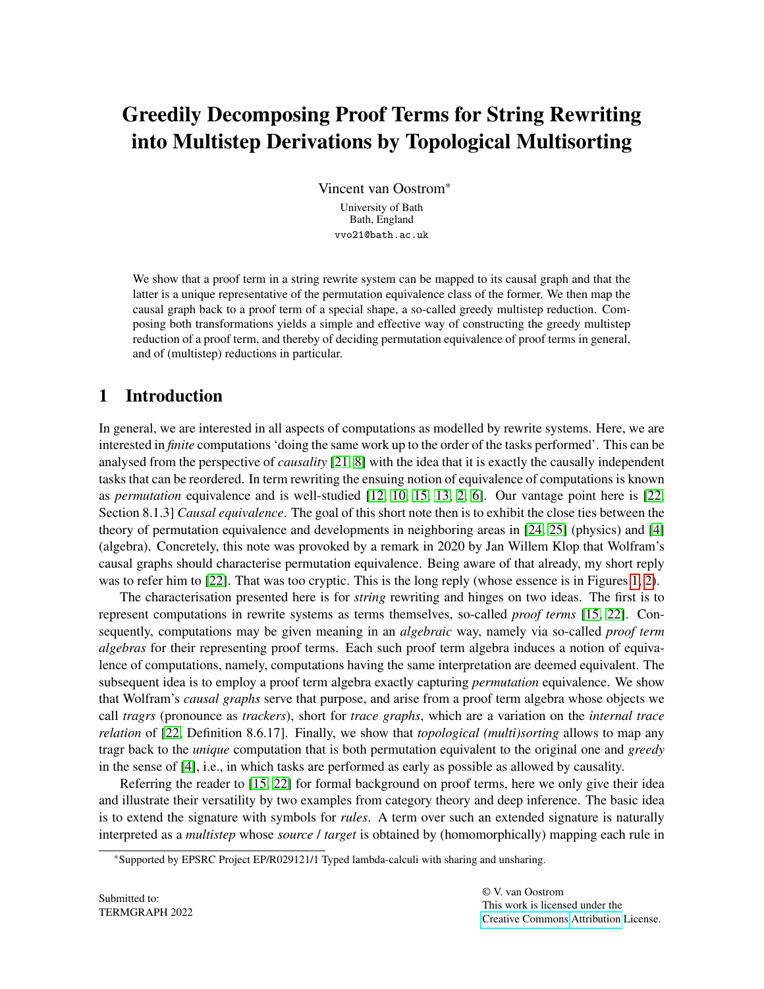# <span id="page-0-0"></span>Greedily Decomposing Proof Terms for String Rewriting into Multistep Derivations by Topological Multisorting

Vincent van Oostrom\* University of Bath Bath, England vvo21@bath.ac.uk

We show that a proof term in a string rewrite system can be mapped to its causal graph and that the latter is a unique representative of the permutation equivalence class of the former. We then map the causal graph back to a proof term of a special shape, a so-called greedy multistep reduction. Composing both transformations yields a simple and effective way of constructing the greedy multistep reduction of a proof term, and thereby of deciding permutation equivalence of proof terms in general, and of (multistep) reductions in particular.

# 1 Introduction

In general, we are interested in all aspects of computations as modelled by rewrite systems. Here, we are interested in *finite* computations 'doing the same work up to the order of the tasks performed'. This can be analysed from the perspective of *causality* [\[21,](#page-9-0) [8\]](#page-9-1) with the idea that it is exactly the causally independent tasks that can be reordered. In term rewriting the ensuing notion of equivalence of computations is known as *permutation* equivalence and is well-studied [\[12,](#page-9-2) [10,](#page-9-3) [15,](#page-9-4) [13,](#page-9-5) [2,](#page-8-0) [6\]](#page-9-6). Our vantage point here is [\[22,](#page-9-7) Section 8.1.3] *Causal equivalence*. The goal of this short note then is to exhibit the close ties between the theory of permutation equivalence and developments in neighboring areas in [\[24,](#page-9-8) [25\]](#page-9-9) (physics) and [\[4\]](#page-9-10) (algebra). Concretely, this note was provoked by a remark in 2020 by Jan Willem Klop that Wolfram's causal graphs should characterise permutation equivalence. Being aware of that already, my short reply was to refer him to [\[22\]](#page-9-7). That was too cryptic. This is the long reply (whose essence is in Figures [1,](#page-6-0) [2\)](#page-7-0).

The characterisation presented here is for *string* rewriting and hinges on two ideas. The first is to represent computations in rewrite systems as terms themselves, so-called *proof terms* [\[15,](#page-9-4) [22\]](#page-9-7). Consequently, computations may be given meaning in an *algebraic* way, namely via so-called *proof term algebras* for their representing proof terms. Each such proof term algebra induces a notion of equivalence of computations, namely, computations having the same interpretation are deemed equivalent. The subsequent idea is to employ a proof term algebra exactly capturing *permutation* equivalence. We show that Wolfram's *causal graphs* serve that purpose, and arise from a proof term algebra whose objects we call *tragrs* (pronounce as *trackers*), short for *trace graphs*, which are a variation on the *internal trace relation* of [\[22,](#page-9-7) Definition 8.6.17]. Finally, we show that *topological (multi)sorting* allows to map any tragr back to the *unique* computation that is both permutation equivalent to the original one and *greedy* in the sense of [\[4\]](#page-9-10), i.e., in which tasks are performed as early as possible as allowed by causality.

Referring the reader to [\[15,](#page-9-4) [22\]](#page-9-7) for formal background on proof terms, here we only give their idea and illustrate their versatility by two examples from category theory and deep inference. The basic idea is to extend the signature with symbols for *rules*. A term over such an extended signature is naturally interpreted as a *multistep* whose *source* / *target* is obtained by (homomorphically) mapping each rule in

<sup>\*</sup>Supported by EPSRC Project EP/R029121/1 Typed lambda-calculi with sharing and unsharing.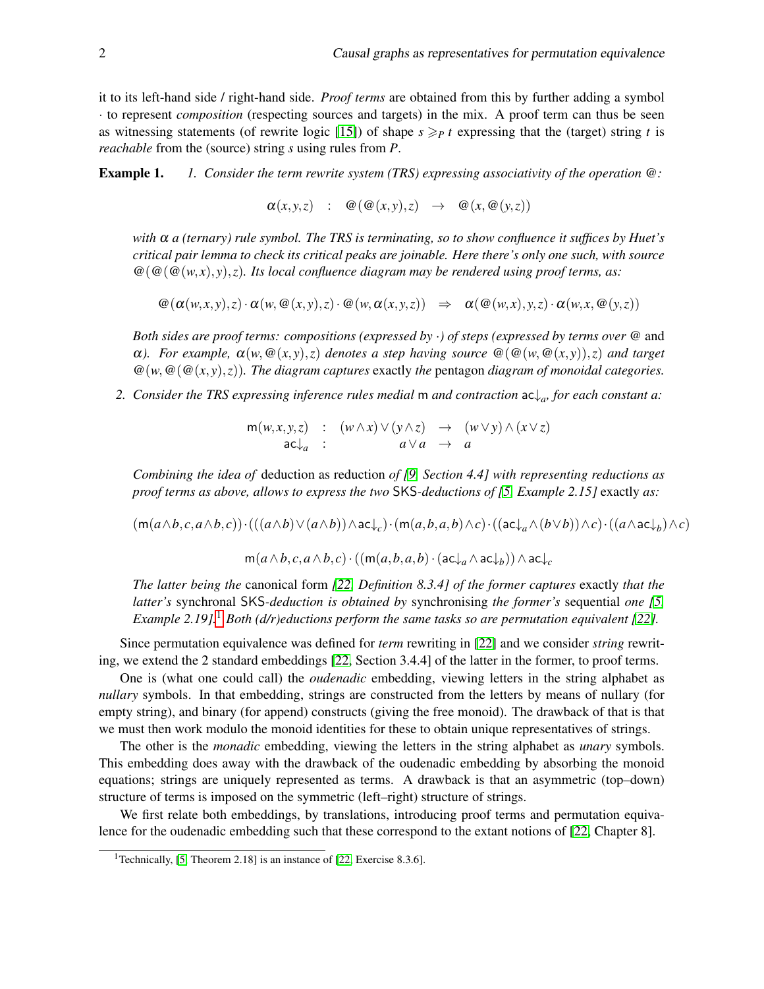it to its left-hand side / right-hand side. *Proof terms* are obtained from this by further adding a symbol · to represent *composition* (respecting sources and targets) in the mix. A proof term can thus be seen as witnessing statements (of rewrite logic [\[15\]](#page-9-4)) of shape  $s \geq p$  *t* expressing that the (target) string *t* is *reachable* from the (source) string *s* using rules from *P*.

Example 1. *1. Consider the term rewrite system (TRS) expressing associativity of the operation* @*:*

 $\alpha(x, y, z)$  :  $\omega(\omega(x, y), z) \rightarrow \omega(x, \omega(y, z))$ 

*with* α *a (ternary) rule symbol. The TRS is terminating, so to show confluence it suffices by Huet's critical pair lemma to check its critical peaks are joinable. Here there's only one such, with source*  $\mathcal{Q}(\mathcal{Q}(\mathcal{Q}(w,x),y),z)$ . Its local confluence diagram may be rendered using proof terms, as:

 $\omega(\alpha(w,x,y),z) \cdot \alpha(w,\omega(x,y),z) \cdot \omega(w,\alpha(x,y,z)) \Rightarrow \alpha(\omega(w,x),y,z) \cdot \alpha(w,x,\omega(y,z))$ 

*Both sides are proof terms: compositions (expressed by* ·*) of steps (expressed by terms over* @ and  $\alpha$ *). For example,*  $\alpha(w, \omega(x, y), z)$  *denotes a step having source*  $\omega(\omega(w, \omega(x, y)), z)$  *and target*  $\mathcal{Q}(w, \mathcal{Q}(\mathcal{Q}(x, y), z))$ . The diagram captures exactly the pentagon diagram of monoidal categories.

<span id="page-1-1"></span>*2. Consider the TRS expressing inference rules medial* m *and contraction* ac↓*<sup>a</sup> , for each constant a:*

 $m(w, x, y, z)$  :  $(w \wedge x) \vee (y \wedge z) \rightarrow (w \vee y) \wedge (x \vee z)$  $ac\downarrow_a$  :  $a\vee a \rightarrow a$ 

*Combining the idea of* deduction as reduction *of [\[9,](#page-9-11) Section 4.4] with representing reductions as proof terms as above, allows to express the two* SKS*-deductions of [\[5,](#page-9-12) Example 2.15]* exactly *as:*

 $(\mathsf{m}(a\wedge b,c,a\wedge b,c))\cdot (((a\wedge b)\vee (a\wedge b))\wedge \mathsf{ac}\!\!\downarrow_c)\cdot (\mathsf{m}(a,b,a,b)\wedge c)\cdot ((\mathsf{ac}\!\!\downarrow_a\wedge(b\vee b))\wedge c)\cdot ((a\wedge \mathsf{ac}\!\!\downarrow_b)\wedge c)$ 

 $\mathsf{m}(a\land b, c, a\land b, c) \cdot ((\mathsf{m}(a, b, a, b) \cdot (\mathsf{ac}\!\!\downarrow_a \land \mathsf{ac}\!\!\downarrow_b)) \land \mathsf{ac}\!\!\downarrow_c$ 

*The latter being the* canonical form *[\[22,](#page-9-7) Definition 8.3.4] of the former captures* exactly *that the latter's* synchronal SKS*-deduction is obtained by* synchronising *the former's* sequential *one [\[5,](#page-9-12) Example 2.[1](#page-1-0)9].*<sup>1</sup> *Both (d/r)eductions perform the same tasks so are permutation equivalent [\[22\]](#page-9-7).* 

Since permutation equivalence was defined for *term* rewriting in [\[22\]](#page-9-7) and we consider *string* rewriting, we extend the 2 standard embeddings [\[22,](#page-9-7) Section 3.4.4] of the latter in the former, to proof terms.

One is (what one could call) the *oudenadic* embedding, viewing letters in the string alphabet as *nullary* symbols. In that embedding, strings are constructed from the letters by means of nullary (for empty string), and binary (for append) constructs (giving the free monoid). The drawback of that is that we must then work modulo the monoid identities for these to obtain unique representatives of strings.

The other is the *monadic* embedding, viewing the letters in the string alphabet as *unary* symbols. This embedding does away with the drawback of the oudenadic embedding by absorbing the monoid equations; strings are uniquely represented as terms. A drawback is that an asymmetric (top–down) structure of terms is imposed on the symmetric (left–right) structure of strings.

We first relate both embeddings, by translations, introducing proof terms and permutation equivalence for the oudenadic embedding such that these correspond to the extant notions of [\[22,](#page-9-7) Chapter 8].

<span id="page-1-0"></span><sup>&</sup>lt;sup>1</sup>Technically, [\[5,](#page-9-12) Theorem 2.18] is an instance of [\[22,](#page-9-7) Exercise 8.3.6].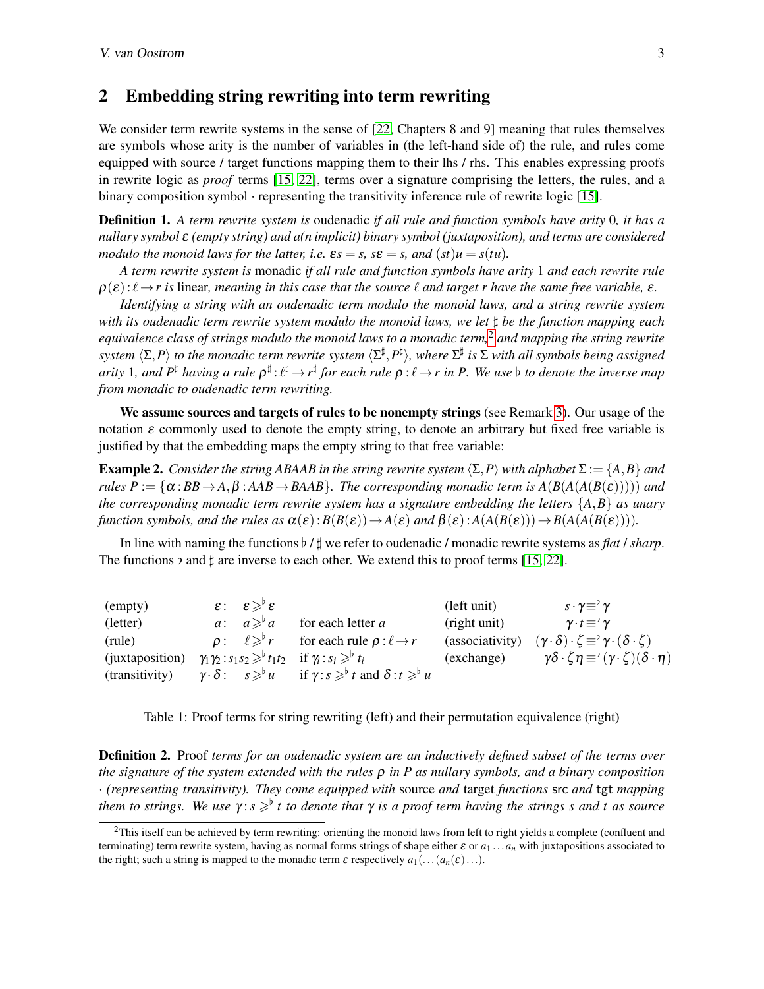#### 2 Embedding string rewriting into term rewriting

We consider term rewrite systems in the sense of [\[22,](#page-9-7) Chapters 8 and 9] meaning that rules themselves are symbols whose arity is the number of variables in (the left-hand side of) the rule, and rules come equipped with source / target functions mapping them to their lhs / rhs. This enables expressing proofs in rewrite logic as *proof* terms [\[15,](#page-9-4) [22\]](#page-9-7), terms over a signature comprising the letters, the rules, and a binary composition symbol  $\cdot$  representing the transitivity inference rule of rewrite logic [\[15\]](#page-9-4).

Definition 1. *A term rewrite system is* oudenadic *if all rule and function symbols have arity* 0*, it has a nullary symbol* ε *(empty string) and a(n implicit) binary symbol (juxtaposition), and terms are considered modulo the monoid laws for the latter, i.e.*  $\varepsilon s = s$ *,*  $s\epsilon = s$ *, and*  $(st)u = s(tu)$ *.* 

*A term rewrite system is* monadic *if all rule and function symbols have arity* 1 *and each rewrite rule*  $\rho(\varepsilon): \ell \to r$  is linear, meaning in this case that the source  $\ell$  and target r have the same free variable,  $\varepsilon$ .

*Identifying a string with an oudenadic term modulo the monoid laws, and a string rewrite system with its oudenadic term rewrite system modulo the monoid laws, we let*  $‡$ *be the function mapping each equivalence class of strings modulo the monoid laws to a monadic term,*[2](#page-2-0) *and mapping the string rewrite*  $s$ ystem  $\langle\Sigma,P\rangle$  to the monadic term rewrite system  $\langle\Sigma^\sharp,P^\sharp\rangle$ , where  $\Sigma^\sharp$  is  $\Sigma$  with all symbols being assigned arity 1, and  $P^{\sharp}$  having a rule  $\rho^{\sharp}:\ell^{\sharp}\to r^{\sharp}$  for each rule  $\rho:\ell\to r$  in P. We use  $\flat$  to denote the inverse map *from monadic to oudenadic term rewriting.*

We assume sources and targets of rules to be nonempty strings (see Remark [3\)](#page-6-1). Our usage of the notation  $\varepsilon$  commonly used to denote the empty string, to denote an arbitrary but fixed free variable is justified by that the embedding maps the empty string to that free variable:

<span id="page-2-2"></span>**Example 2.** *Consider the string ABAAB in the string rewrite system*  $\langle \Sigma, P \rangle$  *with alphabet*  $\Sigma := \{A, B\}$  *and rules*  $P := {\alpha : BB \rightarrow A, \beta : AAB \rightarrow BAAB}$ *. The corresponding monadic term is*  $A(B(A(B(E))))$  *and the corresponding monadic term rewrite system has a signature embedding the letters* {*A*,*B*} *as unary function symbols, and the rules as*  $\alpha(\varepsilon):B(B(\varepsilon))\to A(\varepsilon)$  *and*  $\beta(\varepsilon):A(A(B(\varepsilon)))\to B(A(A(B(\varepsilon))))$ .

In line with naming the functions ♭ / ♯ we refer to oudenadic / monadic rewrite systems as *flat* / *sharp*. The functions  $\flat$  and  $\sharp$  are inverse to each other. We extend this to proof terms [\[15,](#page-9-4) [22\]](#page-9-7).

| (empty)         | $\varepsilon: \varepsilon \geqslant^{\triangleright} \varepsilon$ |                                                                                                           | (left unit)     | $s\cdot\gamma \equiv^{\triangleright} \gamma$                                        |
|-----------------|-------------------------------------------------------------------|-----------------------------------------------------------------------------------------------------------|-----------------|--------------------------------------------------------------------------------------|
| (letter)        | $a: a \geqslant^{\circ} a$                                        | for each letter <i>a</i>                                                                                  | (right unit)    | $\gamma \cdot t \equiv^{\triangleright} \gamma$                                      |
| (rule)          | $\rho: \ell \geqslant^{\triangleright} r$                         | for each rule $\rho : \ell \rightarrow r$                                                                 | (associativity) | $(\gamma \cdot \delta) \cdot \zeta \equiv^{\flat} \gamma \cdot (\delta \cdot \zeta)$ |
| (juxtaposition) |                                                                   | $\gamma_1 \gamma_2 : s_1 s_2 \geq^{\flat} t_1 t_2$ if $\gamma_i : s_i \geq^{\flat} t_i$                   | (exchange)      | $\gamma\delta\cdot\zeta\eta \equiv^{\flat} (\gamma\cdot\zeta)(\delta\cdot\eta)$      |
| (transitivity)  |                                                                   | $\gamma \cdot \delta$ : $s \geq^{\circ} u$ if $\gamma : s \geq^{\circ} t$ and $\delta : t \geq^{\circ} u$ |                 |                                                                                      |

<span id="page-2-1"></span>Table 1: Proof terms for string rewriting (left) and their permutation equivalence (right)

Definition 2. Proof *terms for an oudenadic system are an inductively defined subset of the terms over the signature of the system extended with the rules* ρ *in P as nullary symbols, and a binary composition* · *(representing transitivity). They come equipped with* source *and* target *functions* src *and* tgt *mapping them to strings. We use* γ: *s* ≥<sup>♭</sup> *t to denote that* γ *is a proof term having the strings s and t as source* 

<span id="page-2-0"></span> ${}^{2}$ This itself can be achieved by term rewriting: orienting the monoid laws from left to right yields a complete (confluent and terminating) term rewrite system, having as normal forms strings of shape either  $\varepsilon$  or  $a_1 \ldots a_n$  with juxtapositions associated to the right; such a string is mapped to the monadic term  $\varepsilon$  respectively  $a_1(\ldots(a_n(\varepsilon)\ldots)$ .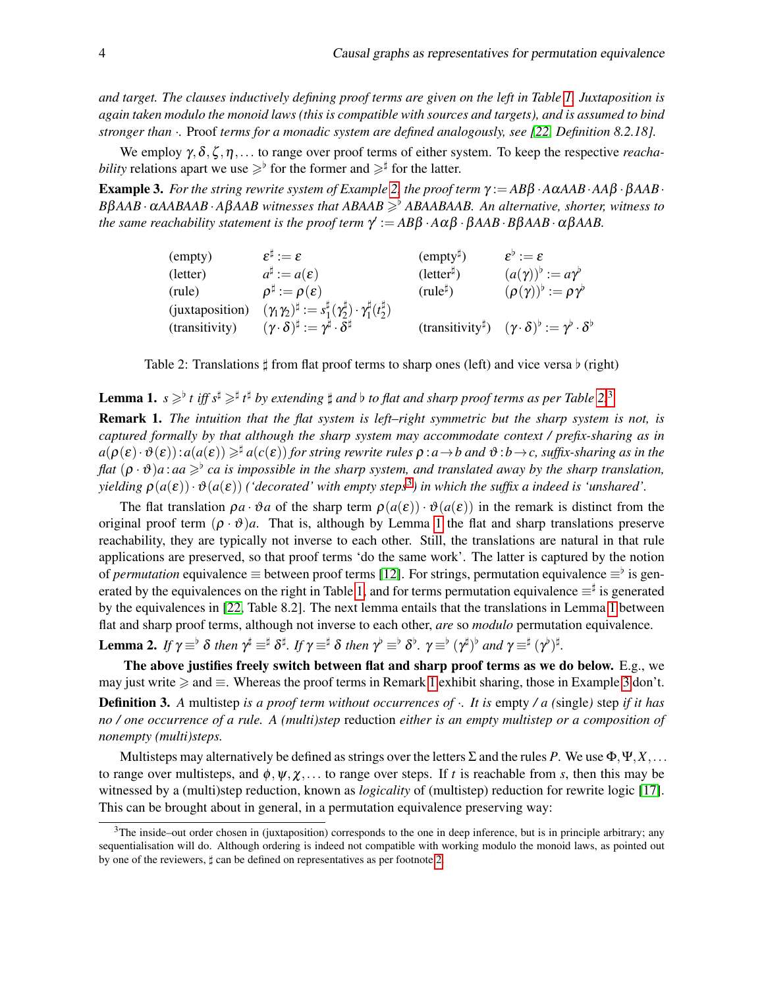*and target. The clauses inductively defining proof terms are given on the left in Table [1.](#page-2-1) Juxtaposition is again taken modulo the monoid laws (this is compatible with sources and targets), and is assumed to bind stronger than* ·*.* Proof *terms for a monadic system are defined analogously, see [\[22,](#page-9-7) Definition 8.2.18].*

We employ γ,δ,ζ ,η,... to range over proof terms of either system. To keep the respective *reachability* relations apart we use  $\geq$ <sup>b</sup> for the former and  $\geq$ <sup>‡</sup> for the latter.

<span id="page-3-4"></span>**Example 3.** For the string rewrite system of Example [2,](#page-2-2) the proof term  $\gamma := AB\beta \cdot A\alpha AAB \cdot A\beta \cdot \beta AAB \cdot$ *B*β*AAB*·α*AABAAB*·*A*β*AAB witnesses that ABAAB* ⩾♭ *ABAABAAB. An alternative, shorter, witness to the same reachability statement is the proof term* γ ′ := *AB*β ·*A*αβ · β*AAB*·*B*β*AAB*·αβ*AAB.*

| (empty)         | $\varepsilon^{\sharp} := \varepsilon$                                                                   | $\text{(empty}^{\sharp})$  | $\varepsilon^{\flat} := \varepsilon$                       |
|-----------------|---------------------------------------------------------------------------------------------------------|----------------------------|------------------------------------------------------------|
| (letter)        | $a^{\sharp} := a(\varepsilon)$                                                                          | $(\text{letter}^{\sharp})$ | $(a(\gamma))^{\flat} := a\gamma^{\flat}$                   |
| (rule)          | $\rho^{\sharp} := \rho(\varepsilon)$                                                                    | $(\text{rule}^{\sharp})$   | $(\rho(\gamma))^{\flat} := \rho \gamma^{\flat}$            |
| (juxtaposition) | $(\gamma_1 \gamma_2)^{\sharp} := s_1^{\sharp}(\gamma_2^{\sharp}) \cdot \gamma_1^{\sharp}(t_2^{\sharp})$ |                            |                                                            |
| (transitivity)  | $(\gamma\cdot\delta)^{\sharp}:=\gamma^{\sharp}\cdot\delta^{\sharp}$                                     | $(transitivity^{\sharp})$  | $(\gamma\cdot\delta)^\flat:=\gamma^\flat\cdot\delta^\flat$ |

<span id="page-3-0"></span>Table 2: Translations  $\sharp$  from flat proof terms to sharp ones (left) and vice versa  $\flat$  (right)

<span id="page-3-2"></span>**Lemma 1.**  $s \geq^{\flat} t$  iff  $s^{\sharp} \geq^{\sharp} t^{\sharp}$  by extending  $\sharp$  and  $\flat$  to flat and sharp proof terms as per Table [2.](#page-3-0)<sup>[3](#page-3-1)</sup>

<span id="page-3-3"></span>Remark 1. *The intuition that the flat system is left–right symmetric but the sharp system is not, is captured formally by that although the sharp system may accommodate context / prefix-sharing as in*  $a(\rho(\varepsilon) \cdot \vartheta(\varepsilon))$ :  $a(a(\varepsilon)) \geq^{\sharp} a(c(\varepsilon))$  for string rewrite rules  $\rho : a \to b$  and  $\vartheta : b \to c$ , suffix-sharing as in the *flat* (ρ ·ϑ)*a* : *aa* ⩾♭ *ca is impossible in the sharp system, and translated away by the sharp translation,*  $y$ ielding  $\rho(a(\varepsilon))\cdot\vartheta(a(\varepsilon))$  ('decorated' with empty steps<sup>[3](#page-3-1)</sup>) in which the suffix a indeed is 'unshared'.

The flat translation  $\rho a \cdot \vartheta a$  of the sharp term  $\rho(a(\varepsilon)) \cdot \vartheta(a(\varepsilon))$  in the remark is distinct from the original proof term  $(\rho \cdot \vartheta)a$ . That is, although by Lemma [1](#page-3-2) the flat and sharp translations preserve reachability, they are typically not inverse to each other. Still, the translations are natural in that rule applications are preserved, so that proof terms 'do the same work'. The latter is captured by the notion of *permutation* equivalence  $\equiv$  between proof terms [\[12\]](#page-9-2). For strings, permutation equivalence  $\equiv^{\flat}$  is gen-erated by the equivalences on the right in Table [1,](#page-2-1) and for terms permutation equivalence  $\equiv^{\sharp}$  is generated by the equivalences in [\[22,](#page-9-7) Table 8.2]. The next lemma entails that the translations in Lemma [1](#page-3-2) between flat and sharp proof terms, although not inverse to each other, *are* so *modulo* permutation equivalence.

<span id="page-3-5"></span>Lemma 2. If  $\gamma$   $\equiv$ <sup>b</sup>  $\delta$  then  $\gamma^{\sharp}$   $\equiv$ <sup>‡</sup>  $\delta$ <sup>†</sup>. If  $\gamma$   $\equiv$ <sup>‡</sup>  $\delta$  then  $\gamma^{\flat}$   $\equiv$ <sup>b</sup>  $\delta$ <sup>b</sup>.  $\gamma$   $\equiv$ <sup>b</sup>  $(\gamma^{\sharp})$ <sup>b</sup> and  $\gamma$   $\equiv$ <sup>‡</sup>  $(\gamma^{\flat})$ <sup>‡</sup>.

The above justifies freely switch between flat and sharp proof terms as we do below. E.g., we may just write  $\ge$  and  $\equiv$ . Whereas the proof terms in Remark [1](#page-3-3) exhibit sharing, those in Example [3](#page-3-4) don't.

Definition 3. *A* multistep *is a proof term without occurrences of* ·*. It is* empty */ a (*single*)* step *if it has no / one occurrence of a rule. A (multi)step* reduction *either is an empty multistep or a composition of nonempty (multi)steps.*

Multisteps may alternatively be defined as strings over the letters Σ and the rules *P*. We use Φ,Ψ,*X*,... to range over multisteps, and  $\phi$ ,  $\psi$ ,  $\chi$ ,... to range over steps. If *t* is reachable from *s*, then this may be witnessed by a (multi)step reduction, known as *logicality* of (multistep) reduction for rewrite logic [\[17\]](#page-9-13). This can be brought about in general, in a permutation equivalence preserving way:

<span id="page-3-1"></span> $3$ The inside–out order chosen in (juxtaposition) corresponds to the one in deep inference, but is in principle arbitrary; any sequentialisation will do. Although ordering is indeed not compatible with working modulo the monoid laws, as pointed out by one of the reviewers, ♯ can be defined on representatives as per footnote [2.](#page-2-0)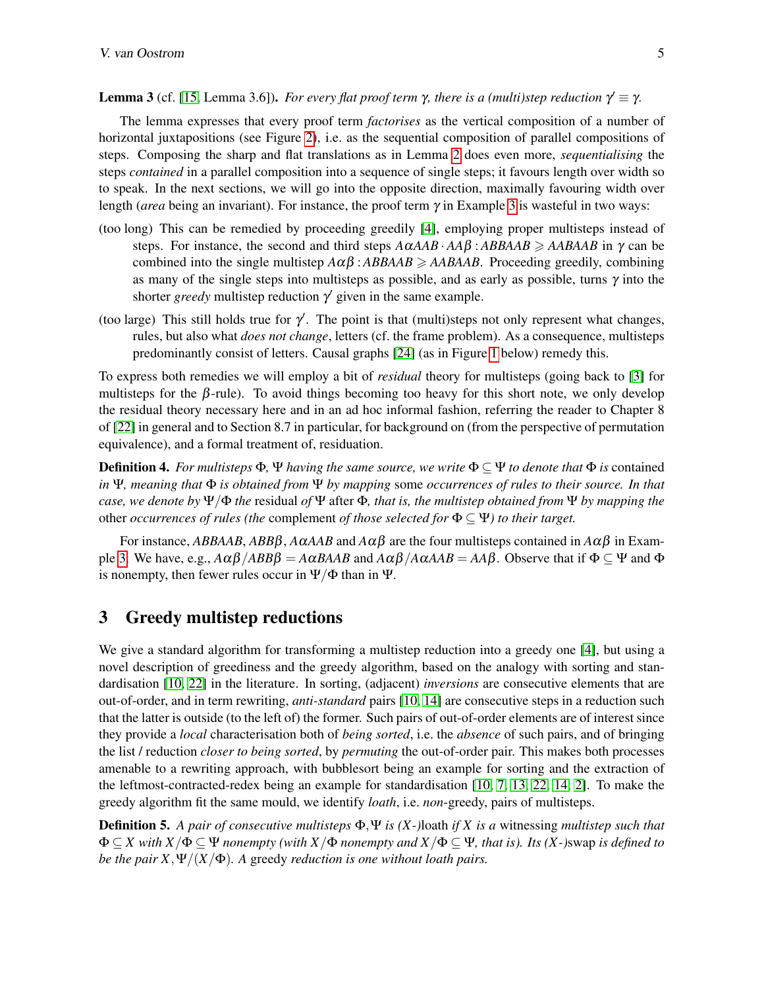#### <span id="page-4-0"></span>**Lemma 3** (cf. [\[15,](#page-9-4) Lemma 3.6]). *For every flat proof term*  $\gamma$ *, there is a (multi)step reduction*  $\gamma' \equiv \gamma$ .

The lemma expresses that every proof term *factorises* as the vertical composition of a number of horizontal juxtapositions (see Figure [2\)](#page-7-0), i.e. as the sequential composition of parallel compositions of steps. Composing the sharp and flat translations as in Lemma [2](#page-3-5) does even more, *sequentialising* the steps *contained* in a parallel composition into a sequence of single steps; it favours length over width so to speak. In the next sections, we will go into the opposite direction, maximally favouring width over length (*area* being an invariant). For instance, the proof term  $\gamma$  in Example [3](#page-3-4) is wasteful in two ways:

- (too long) This can be remedied by proceeding greedily [\[4\]](#page-9-10), employing proper multisteps instead of steps. For instance, the second and third steps  $A\alpha AAB \cdot A\beta$  :  $ABBAAB \geq AABAAB$  in  $\gamma$  can be combined into the single multistep  $A\alpha\beta$ :  $ABBAAB \geq AABAAB$ . Proceeding greedily, combining as many of the single steps into multisteps as possible, and as early as possible, turns  $\gamma$  into the shorter *greedy* multistep reduction  $\gamma'$  given in the same example.
- (too large) This still holds true for  $\gamma'$ . The point is that (multi)steps not only represent what changes, rules, but also what *does not change*, letters (cf. the frame problem). As a consequence, multisteps predominantly consist of letters. Causal graphs [\[24\]](#page-9-8) (as in Figure [1](#page-6-0) below) remedy this.

To express both remedies we will employ a bit of *residual* theory for multisteps (going back to [\[3\]](#page-9-14) for multisteps for the  $\beta$ -rule). To avoid things becoming too heavy for this short note, we only develop the residual theory necessary here and in an ad hoc informal fashion, referring the reader to Chapter 8 of [\[22\]](#page-9-7) in general and to Section 8.7 in particular, for background on (from the perspective of permutation equivalence), and a formal treatment of, residuation.

**Definition 4.** *For multisteps*  $\Phi$ ,  $\Psi$  *having the same source, we write*  $\Phi \subseteq \Psi$  *to denote that*  $\Phi$  *is* contained *in* Ψ*, meaning that* Φ *is obtained from* Ψ *by mapping* some *occurrences of rules to their source. In that case, we denote by* Ψ/Φ *the* residual *of* Ψ after Φ*, that is, the multistep obtained from* Ψ *by mapping the* other *occurrences of rules (the complement of those selected for*  $\Phi \subseteq \Psi$ ) to their target.

For instance, *ABBAAB*, *ABB*β, *A*α*AAB* and *A*αβ are the four multisteps contained in *A*αβ in Exam-ple [3.](#page-3-4) We have, e.g.,  $A\alpha\beta/ABB\beta = A\alpha BAAA$  and  $A\alpha\beta/A\alpha AAB = AA\beta$ . Observe that if  $\Phi \subseteq \Psi$  and  $\Phi$ is nonempty, then fewer rules occur in  $\Psi/\Phi$  than in  $\Psi$ .

### 3 Greedy multistep reductions

We give a standard algorithm for transforming a multistep reduction into a greedy one [\[4\]](#page-9-10), but using a novel description of greediness and the greedy algorithm, based on the analogy with sorting and standardisation [\[10,](#page-9-3) [22\]](#page-9-7) in the literature. In sorting, (adjacent) *inversions* are consecutive elements that are out-of-order, and in term rewriting, *anti-standard* pairs [\[10,](#page-9-3) [14\]](#page-9-15) are consecutive steps in a reduction such that the latter is outside (to the left of) the former. Such pairs of out-of-order elements are of interest since they provide a *local* characterisation both of *being sorted*, i.e. the *absence* of such pairs, and of bringing the list / reduction *closer to being sorted*, by *permuting* the out-of-order pair. This makes both processes amenable to a rewriting approach, with bubblesort being an example for sorting and the extraction of the leftmost-contracted-redex being an example for standardisation [\[10,](#page-9-3) [7,](#page-9-16) [13,](#page-9-5) [22,](#page-9-7) [14,](#page-9-15) [2\]](#page-8-0). To make the greedy algorithm fit the same mould, we identify *loath*, i.e. *non*-greedy, pairs of multisteps.

Definition 5. *A pair of consecutive multisteps* Φ,Ψ *is (X-)*loath *if X is a* witnessing *multistep such that* Φ ⊆ *X with X*/Φ ⊆ Ψ *nonempty (with X*/Φ *nonempty and X*/Φ ⊆ Ψ*, that is). Its (X-)*swap *is defined to be the pair X*,  $\Psi/(X/\Phi)$ *. A greedy reduction is one without loath pairs.*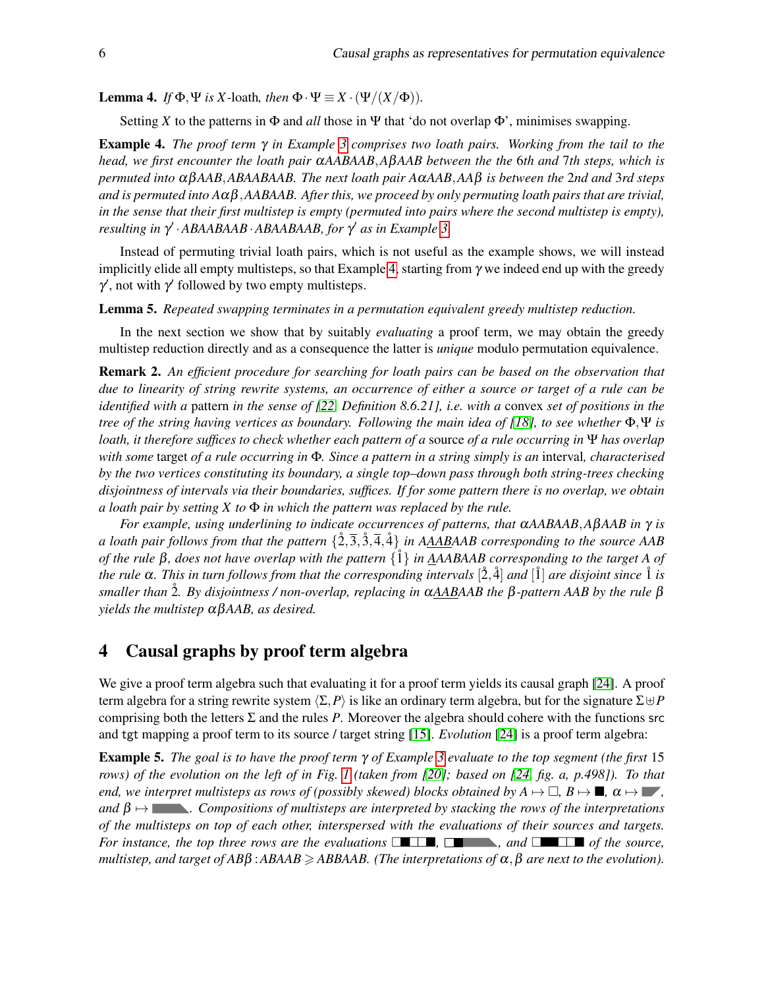<span id="page-5-2"></span>**Lemma 4.** *If*  $\Phi$ ,  $\Psi$  *is X*-loath, *then*  $\Phi \cdot \Psi \equiv X \cdot (\Psi/(X/\Phi))$ .

Setting *X* to the patterns in  $\Phi$  and *all* those in Ψ that 'do not overlap  $\Phi$ ', minimises swapping.

<span id="page-5-0"></span>Example 4. *The proof term* γ *in Example [3](#page-3-4) comprises two loath pairs. Working from the tail to the head, we first encounter the loath pair* α*AABAAB*,*A*β*AAB between the the* 6*th and* 7*th steps, which is permuted into* αβ*AAB*,*ABAABAAB. The next loath pair A*α*AAB*,*AA*β *is between the* 2*nd and* 3*rd steps and is permuted into A*αβ,*AABAAB. After this, we proceed by only permuting loath pairs that are trivial, in the sense that their first multistep is empty (permuted into pairs where the second multistep is empty), resulting in* γ ′ ·*ABAABAAB*·*ABAABAAB, for* γ ′ *as in Example [3.](#page-3-4)*

Instead of permuting trivial loath pairs, which is not useful as the example shows, we will instead implicitly elide all empty multisteps, so that Example [4,](#page-5-0) starting from  $\gamma$  we indeed end up with the greedy  $\gamma'$ , not with  $\gamma'$  followed by two empty multisteps.

<span id="page-5-1"></span>Lemma 5. *Repeated swapping terminates in a permutation equivalent greedy multistep reduction.*

In the next section we show that by suitably *evaluating* a proof term, we may obtain the greedy multistep reduction directly and as a consequence the latter is *unique* modulo permutation equivalence.

Remark 2. *An efficient procedure for searching for loath pairs can be based on the observation that due to linearity of string rewrite systems, an occurrence of either a source or target of a rule can be identified with a* pattern *in the sense of [\[22,](#page-9-7) Definition 8.6.21], i.e. with a* convex *set of positions in the tree of the string having vertices as boundary. Following the main idea of [\[18\]](#page-9-17), to see whether* Φ,Ψ *is loath, it therefore suffices to check whether each pattern of a* source *of a rule occurring in* Ψ *has overlap with some* target *of a rule occurring in* Φ*. Since a pattern in a string simply is an* interval*, characterised by the two vertices constituting its boundary, a single top–down pass through both string-trees checking disjointness of intervals via their boundaries, suffices. If for some pattern there is no overlap, we obtain a loath pair by setting X to* Φ *in which the pattern was replaced by the rule.*

*For example, using underlining to indicate occurrences of patterns, that* α*AABAAB*,*A*β*AAB in* γ *is a loath pair follows from that the pattern*  $\{2,\overline{3},3,\overline{4},4\}$  *in AAABAAB corresponding to the source AAB of the rule* β*, does not have overlap with the pattern* {1˚} *in AAABAAB corresponding to the target A of the rule* α*. This in turn follows from that the corresponding intervals* [2˚,4˚] *and* [1˚] *are disjoint since* 1˚ *is smaller than* 2˚*. By disjointness / non-overlap, replacing in* α*AABAAB the* β*-pattern AAB by the rule* β *yields the multistep* αβ*AAB, as desired.*

## 4 Causal graphs by proof term algebra

We give a proof term algebra such that evaluating it for a proof term yields its causal graph [\[24\]](#page-9-8). A proof term algebra for a string rewrite system  $\langle \Sigma, P \rangle$  is like an ordinary term algebra, but for the signature  $\Sigma \cup P$ comprising both the letters Σ and the rules *P*. Moreover the algebra should cohere with the functions src and tgt mapping a proof term to its source / target string [\[15\]](#page-9-4). *Evolution* [\[24\]](#page-9-8) is a proof term algebra:

Example 5. *The goal is to have the proof term* γ *of Example [3](#page-3-4) evaluate to the top segment (the first* 15 *rows) of the evolution on the left of in Fig. [1](#page-6-0) (taken from [\[20\]](#page-9-18); based on [\[24,](#page-9-8) fig. a, p.498]). To that end, we interpret multisteps as rows of (possibly skewed) blocks obtained by*  $A \mapsto \Box$ *,*  $B \mapsto \Box$ *,*  $\alpha \mapsto \Box$ *, and*  $\beta \mapsto$  **.** Compositions of multisteps are interpreted by stacking the rows of the interpretations *of the multisteps on top of each other, interspersed with the evaluations of their sources and targets. For instance, the top three rows are the evaluations* □■■■, □■■■, *and* □■■ *of the source, multistep, and target of AB* $\beta$  : *ABAAB*  $\geq$  *ABBAAB. (The interpretations of*  $\alpha$ ,  $\beta$  *are next to the evolution).*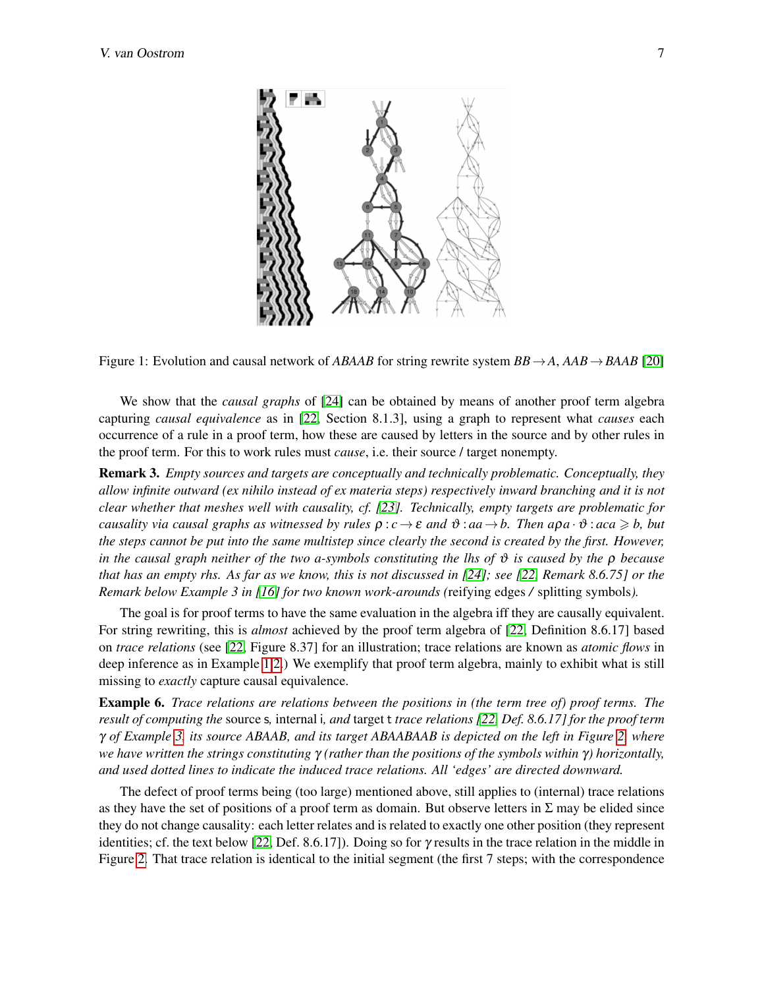

<span id="page-6-0"></span>Figure 1: Evolution and causal network of *ABAAB* for string rewrite system *BB*→*A*, *AAB*→*BAAB* [\[20\]](#page-9-18)

We show that the *causal graphs* of [\[24\]](#page-9-8) can be obtained by means of another proof term algebra capturing *causal equivalence* as in [\[22,](#page-9-7) Section 8.1.3], using a graph to represent what *causes* each occurrence of a rule in a proof term, how these are caused by letters in the source and by other rules in the proof term. For this to work rules must *cause*, i.e. their source / target nonempty.

<span id="page-6-1"></span>Remark 3. *Empty sources and targets are conceptually and technically problematic. Conceptually, they allow infinite outward (ex nihilo instead of ex materia steps) respectively inward branching and it is not clear whether that meshes well with causality, cf. [\[23\]](#page-9-19). Technically, empty targets are problematic for causality via causal graphs as witnessed by rules*  $\rho : c \to \varepsilon$  *and*  $\vartheta : aa \to b$ . Then  $a \rho a \cdot \vartheta : aca \geq b$ , but *the steps cannot be put into the same multistep since clearly the second is created by the first. However, in the causal graph neither of the two a-symbols constituting the lhs of* ϑ *is caused by the* ρ *because that has an empty rhs. As far as we know, this is not discussed in [\[24\]](#page-9-8); see [\[22,](#page-9-7) Remark 8.6.75] or the Remark below Example 3 in [\[16\]](#page-9-20) for two known work-arounds (*reifying edges */* splitting symbols*).*

The goal is for proof terms to have the same evaluation in the algebra iff they are causally equivalent. For string rewriting, this is *almost* achieved by the proof term algebra of [\[22,](#page-9-7) Definition 8.6.17] based on *trace relations* (see [\[22,](#page-9-7) Figure 8.37] for an illustration; trace relations are known as *atomic flows* in deep inference as in Example [1](#page-0-0)[.2.](#page-1-1)) We exemplify that proof term algebra, mainly to exhibit what is still missing to *exactly* capture causal equivalence.

Example 6. *Trace relations are relations between the positions in (the term tree of) proof terms. The result of computing the* source s*,* internal i*, and* target t *trace relations [\[22,](#page-9-7) Def. 8.6.17] for the proof term* γ *of Example [3,](#page-3-4) its source ABAAB, and its target ABAABAAB is depicted on the left in Figure [2,](#page-7-0) where we have written the strings constituting* γ *(rather than the positions of the symbols within* γ*) horizontally, and used dotted lines to indicate the induced trace relations. All 'edges' are directed downward.*

The defect of proof terms being (too large) mentioned above, still applies to (internal) trace relations as they have the set of positions of a proof term as domain. But observe letters in  $\Sigma$  may be elided since they do not change causality: each letter relates and is related to exactly one other position (they represent identities; cf. the text below [\[22,](#page-9-7) Def. 8.6.17]). Doing so for  $\gamma$  results in the trace relation in the middle in Figure [2.](#page-7-0) That trace relation is identical to the initial segment (the first 7 steps; with the correspondence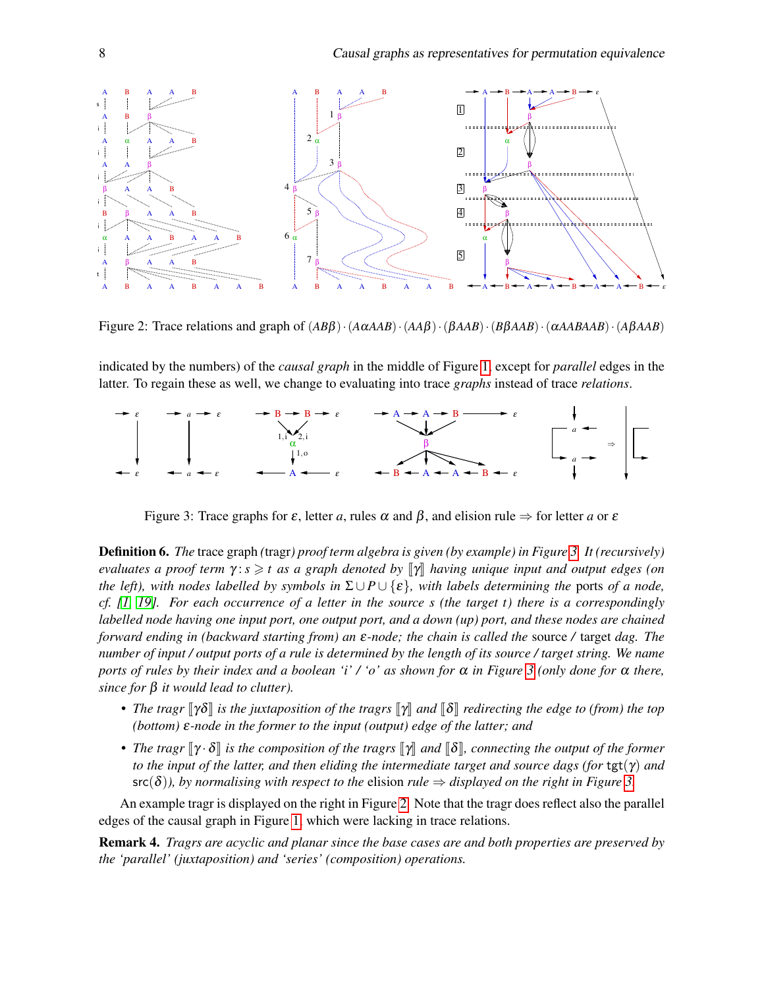

<span id="page-7-0"></span>Figure 2: Trace relations and graph of (*AB*β)·(*A*α*AAB*)·(*AA*β)·(β*AAB*)·(*B*β*AAB*)·(α*AABAAB*)·(*A*β*AAB*)

indicated by the numbers) of the *causal graph* in the middle of Figure [1,](#page-6-0) except for *parallel* edges in the latter. To regain these as well, we change to evaluating into trace *graphs* instead of trace *relations*.



<span id="page-7-1"></span>Figure 3: Trace graphs for  $\varepsilon$ , letter *a*, rules  $\alpha$  and  $\beta$ , and elision rule  $\Rightarrow$  for letter *a* or  $\varepsilon$ 

Definition 6. *The* trace graph *(*tragr*) proof term algebra is given (by example) in Figure [3.](#page-7-1) It (recursively) evaluates a proof term*  $\gamma$ : *s*  $\geq$  *t as a graph denoted by*  $\llbracket \gamma \rrbracket$  *having unique input and output edges (on the left), with nodes labelled by symbols in*  $\Sigma \cup P \cup \{\varepsilon\}$ *, with labels determining the ports of a node, cf. [\[1,](#page-8-1) [19\]](#page-9-21). For each occurrence of a letter in the source s (the target t) there is a correspondingly labelled node having one input port, one output port, and a down (up) port, and these nodes are chained forward ending in (backward starting from) an* ε*-node; the chain is called the* source */* target *dag. The number of input / output ports of a rule is determined by the length of its source / target string. We name ports of rules by their index and a boolean 'i' / 'o' as shown for* α *in Figure [3](#page-7-1) (only done for* α *there, since for* β *it would lead to clutter).*

- *The tragr*  $\lceil \gamma \delta \rceil$  *is the juxtaposition of the tragrs*  $\lceil \gamma \rceil$  *and*  $\lceil \delta \rceil$  *redirecting the edge to (from) the top (bottom)* ε*-node in the former to the input (output) edge of the latter; and*
- *The tragr*  $\llbracket \gamma \cdot \delta \rrbracket$  *is the composition of the tragrs*  $\llbracket \gamma \rrbracket$  *and*  $\llbracket \delta \rrbracket$ *, connecting the output of the former to the input of the latter, and then eliding the intermediate target and source dags (for tgt(* $\gamma$ *) and*  $src(\delta)$ *), by normalising with respect to the elision rule*  $\Rightarrow$  *displayed on the right in Figure [3.](#page-7-1)*

An example tragr is displayed on the right in Figure [2.](#page-7-0) Note that the tragr does reflect also the parallel edges of the causal graph in Figure [1,](#page-6-0) which were lacking in trace relations.

Remark 4. *Tragrs are acyclic and planar since the base cases are and both properties are preserved by the 'parallel' (juxtaposition) and 'series' (composition) operations.*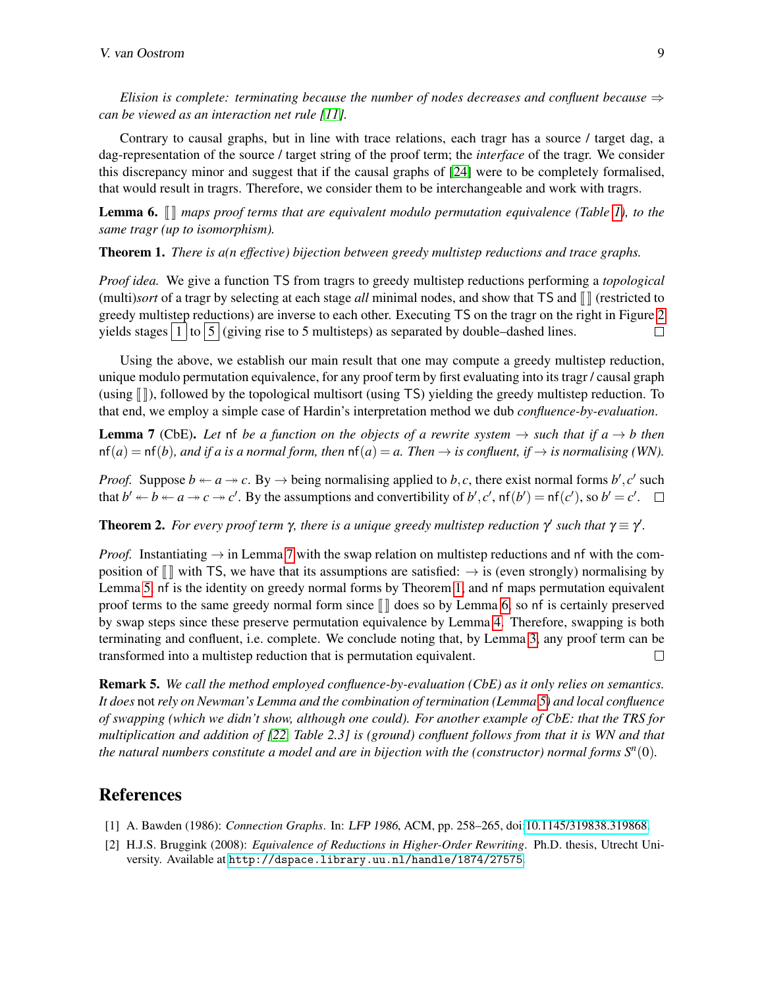*Elision is complete: terminating because the number of nodes decreases and confluent because*  $\Rightarrow$ *can be viewed as an interaction net rule [\[11\]](#page-9-22).*

Contrary to causal graphs, but in line with trace relations, each tragr has a source / target dag, a dag-representation of the source / target string of the proof term; the *interface* of the tragr. We consider this discrepancy minor and suggest that if the causal graphs of [\[24\]](#page-9-8) were to be completely formalised, that would result in tragrs. Therefore, we consider them to be interchangeable and work with tragrs.

<span id="page-8-4"></span>**Lemma 6.**  $\llbracket \cdot \rrbracket$  *maps proof terms that are equivalent modulo permutation equivalence (Table [1\)](#page-2-1), to the same tragr (up to isomorphism).*

<span id="page-8-3"></span>Theorem 1. *There is a(n effective) bijection between greedy multistep reductions and trace graphs.*

*Proof idea.* We give a function TS from tragrs to greedy multistep reductions performing a *topological* (multi)*sort* of a tragr by selecting at each stage  $all$  minimal nodes, and show that TS and  $\llbracket \parallel$  (restricted to greedy multistep reductions) are inverse to each other. Executing TS on the tragr on the right in Figure [2](#page-7-0) yields stages  $\frac{1}{1}$  to  $\frac{5}{1}$  (giving rise to 5 multisteps) as separated by double–dashed lines. П

Using the above, we establish our main result that one may compute a greedy multistep reduction, unique modulo permutation equivalence, for any proof term by first evaluating into its tragr / causal graph (using  $\| \, \|$ ), followed by the topological multisort (using TS) yielding the greedy multistep reduction. To that end, we employ a simple case of Hardin's interpretation method we dub *confluence-by-evaluation*.

<span id="page-8-2"></span>**Lemma 7** (CbE). Let of *be a function on the objects of a rewrite system*  $\rightarrow$  *such that if a*  $\rightarrow$  *b then*  $nf(a) = nf(b)$ *, and if a is a normal form, then*  $nf(a) = a$ *. Then*  $\rightarrow$  *is confluent, if*  $\rightarrow$  *is normalising (WN).* 

*Proof.* Suppose  $b \leftarrow a \rightarrow c$ . By  $\rightarrow$  being normalising applied to *b*, *c*, there exist normal forms *b*<sup>*'*</sup>, *c*<sup>*'*</sup> such that  $b' \leftarrow b \leftarrow a \rightarrow c \rightarrow c'$ . By the assumptions and convertibility of  $b', c', \text{nf}(b') = \text{nf}(c')$ , so  $b' = c'$ .

**Theorem 2.** For every proof term  $\gamma$ , there is a unique greedy multistep reduction  $\gamma'$  such that  $\gamma \equiv \gamma'$ .

*Proof.* Instantiating  $\rightarrow$  in Lemma [7](#page-8-2) with the swap relation on multistep reductions and nf with the composition of  $\llbracket \rrbracket$  with TS, we have that its assumptions are satisfied:  $\rightarrow$  is (even strongly) normalising by Lemma [5,](#page-5-1) nf is the identity on greedy normal forms by Theorem [1,](#page-8-3) and nf maps permutation equivalent proof terms to the same greedy normal form since  $\llbracket \rrbracket$  does so by Lemma [6,](#page-8-4) so nf is certainly preserved by swap steps since these preserve permutation equivalence by Lemma [4.](#page-5-2) Therefore, swapping is both terminating and confluent, i.e. complete. We conclude noting that, by Lemma [3,](#page-4-0) any proof term can be transformed into a multistep reduction that is permutation equivalent.  $\Box$ 

Remark 5. *We call the method employed confluence-by-evaluation (CbE) as it only relies on semantics. It does* not *rely on Newman's Lemma and the combination of termination (Lemma [5\)](#page-5-1) and local confluence of swapping (which we didn't show, although one could). For another example of CbE: that the TRS for multiplication and addition of [\[22,](#page-9-7) Table 2.3] is (ground) confluent follows from that it is WN and that the natural numbers constitute a model and are in bijection with the (constructor) normal forms*  $S<sup>n</sup>(0)$ *.* 

#### References

- <span id="page-8-1"></span>[1] A. Bawden (1986): *Connection Graphs*. In: LFP 1986, ACM, pp. 258–265, doi[:10.1145/319838.319868.](http://dx.doi.org/10.1145/319838.319868)
- <span id="page-8-0"></span>[2] H.J.S. Bruggink (2008): *Equivalence of Reductions in Higher-Order Rewriting*. Ph.D. thesis, Utrecht University. Available at <http://dspace.library.uu.nl/handle/1874/27575>.